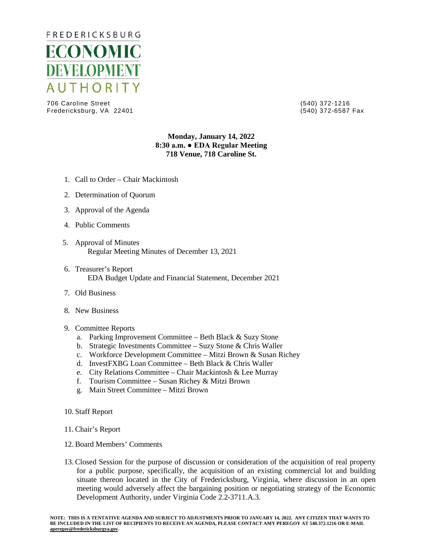

706 Caroline Street (540) 372-1216 Fredericksburg, VA 22401

## **Monday, January 14, 2022 8:30 a.m. ● EDA Regular Meeting 718 Venue, 718 Caroline St.**

- 1. Call to Order Chair Mackintosh
- 2. Determination of Quorum
- 3. Approval of the Agenda
- 4. Public Comments
- 5. Approval of Minutes Regular Meeting Minutes of December 13, 2021
- 6. Treasurer's Report EDA Budget Update and Financial Statement, December 2021
- 7. Old Business
- 8. New Business
- 9. Committee Reports
	- a. Parking Improvement Committee Beth Black & Suzy Stone
	- b. Strategic Investments Committee Suzy Stone & Chris Waller
	- c. Workforce Development Committee Mitzi Brown & Susan Richey
	- d. InvestFXBG Loan Committee Beth Black & Chris Waller
	- e. City Relations Committee Chair Mackintosh & Lee Murray
	- f. Tourism Committee Susan Richey & Mitzi Brown
	- g. Main Street Committee Mitzi Brown
- 10. Staff Report
- 11. Chair's Report
- 12. Board Members' Comments
- 13. Closed Session for the purpose of discussion or consideration of the acquisition of real property for a public purpose, specifically, the acquisition of an existing commercial lot and building situate thereon located in the City of Fredericksburg, Virginia, where discussion in an open meeting would adversely affect the bargaining position or negotiating strategy of the Economic Development Authority, under Virginia Code 2.2-3711.A.3.